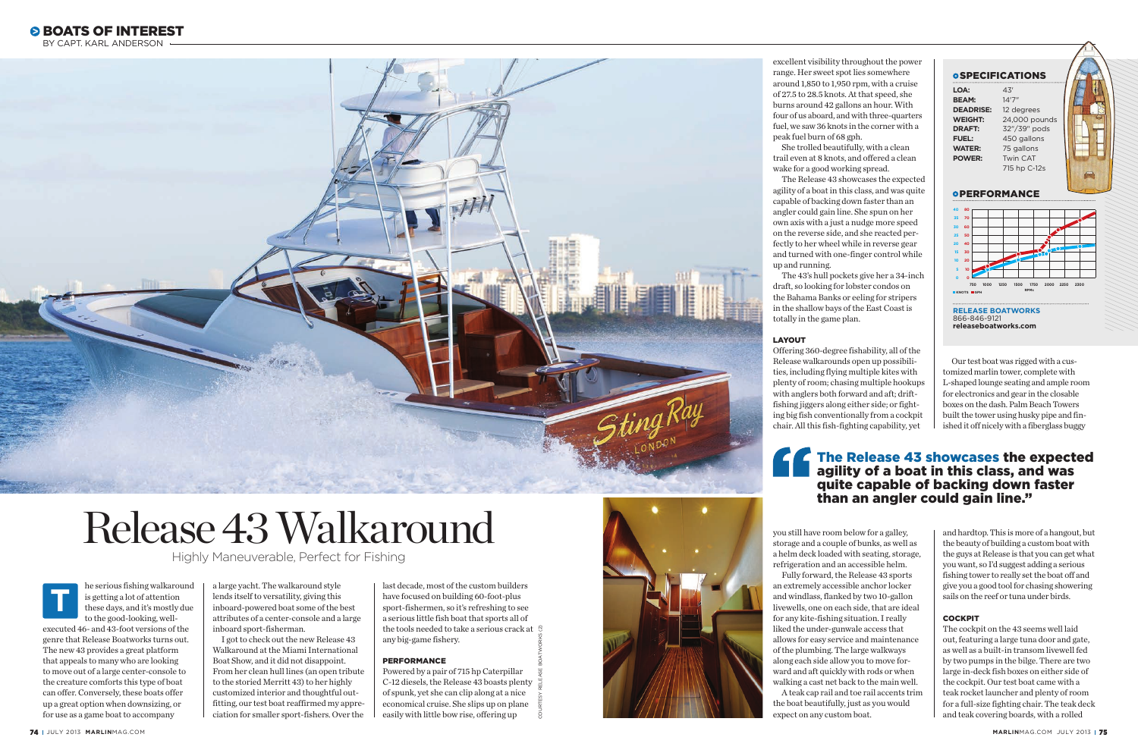

# Release 43 Walkaround

Highly Maneuverable, Perfect for Fishing





he serious fishing walkaround is getting a lot of attention these days, and it's mostly due to the good-looking, well-

executed 46- and 43-foot versions of the genre that Release Boatworks turns out. The new 43 provides a great platform that appeals to many who are looking to move out of a large center-console to the creature comforts this type of boat can offer. Conversely, these boats offer up a great option when downsizing, or for use as a game boat to accompany

a large yacht. The walkaround style lends itself to versatility, giving this inboard-powered boat some of the best attributes of a center-console and a large inboard sport-fisherman.

I got to check out the new Release 43 Walkaround at the Miami International Boat Show, and it did not disappoint. From her clean hull lines (an open tribute to the storied Merritt 43) to her highly customized interior and thoughtful out fitting, our test boat reaffirmed my appre ciation for smaller sport-fishers. Over the last decade, most of the custom builders have focused on building 60-foot-plus sport-fishermen, so it's refreshing to see a serious little fish boat that sports all of the tools needed to take a serious crack at  $\mathcal{R}$ any big-game fishery.

# PERFORMANCE

Powered by a pair of 715 hp Caterpillar C-12 diesels, the Release 43 boasts plenty of spunk, yet she can clip along at a nice economical cruise. She slips up on plane easily with little bow rise, offering up



excellent visibility throughout the power range. Her sweet spot lies somewhere around 1,850 to 1,950 rpm, with a cruise of 27.5 to 28.5 knots. At that speed, she burns around 42 gallons an hour. With four of us aboard, and with three-quarters fuel, we saw 36 knots in the corner with a peak fuel burn of 68 gph.

She trolled beautifully, with a clean trail even at 8 knots, and offered a clean wake for a good working spread.

The Release 43 showcases the expected agility of a boat in this class, and was quite capable of backing down faster than an angler could gain line. She spun on her own axis with a just a nudge more speed on the reverse side, and she reacted per fectly to her wheel while in reverse gear and turned with one-finger control while up and running.

The 43's hull pockets give her a 34-inch draft, so looking for lobster condos on the Bahama Banks or eeling for stripers in the shallow bays of the East Coast is totally in the game plan.

### LAYOUT

Offering 360-degree fishability, all of the Release walkarounds open up possibili ties, including flying multiple kites with plenty of room; chasing multiple hookups with anglers both forward and aft; driftfishing jiggers along either side; or fighting big fish conventionally from a cockpit chair. All this fish-fighting capability, yet

you still have room below for a galley, storage and a couple of bunks, as well as a helm deck loaded with seating, storage, refrigeration and an accessible helm. Fully forward, the Release 43 sports an extremely accessible anchor locker and windlass, flanked by two 10-gallon livewells, one on each side, that are ideal for any kite-fishing situation. I really liked the under-gunwale access that allows for easy service and maintenance of the plumbing. The large walkways along each side allow you to move for ward and aft quickly with rods or when walking a cast net back to the main well. A teak cap rail and toe rail accents trim the boat beautifully, just as you would

expect on any custom boat.

Our test boat was rigged with a cus tomized marlin tower, complete with L-shaped lounge seating and ample room for electronics and gear in the closable boxes on the dash. Palm Beach Towers built the tower using husky pipe and fin ished it off nicely with a fiberglass buggy

and hardtop. This is more of a hangout, but the beauty of building a custom boat with the guys at Release is that you can get what you want, so I'd suggest adding a serious fishing tower to really set the boat off and give you a good tool for chasing showering sails on the reef or tuna under birds.

# **COCKPIT**

The cockpit on the 43 seems well laid out, featuring a large tuna door and gate, as well as a built-in transom livewell fed by two pumps in the bilge. There are two large in-deck fish boxes on either side of the cockpit. Our test boat came with a teak rocket launcher and plenty of room for a full-size fighting chair. The teak deck and teak covering boards, with a rolled

BY CAPT. KARL ANDERSON

# The Release 43 showcases the expected agility of a boat in this class, and was quite capable of backing down faster than an angler could gain line."